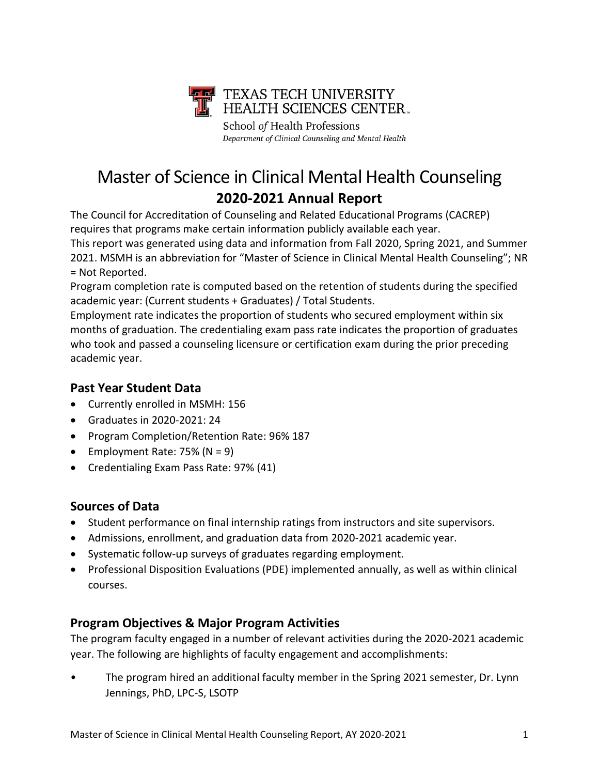

School of Health Professions Department of Clinical Counseling and Mental Health

# Master of Science in Clinical Mental Health Counseling **2020-2021 Annual Report**

The Council for Accreditation of Counseling and Related Educational Programs (CACREP) requires that programs make certain information publicly available each year.

This report was generated using data and information from Fall 2020, Spring 2021, and Summer 2021. MSMH is an abbreviation for "Master of Science in Clinical Mental Health Counseling"; NR = Not Reported.

Program completion rate is computed based on the retention of students during the specified academic year: (Current students + Graduates) / Total Students.

Employment rate indicates the proportion of students who secured employment within six months of graduation. The credentialing exam pass rate indicates the proportion of graduates who took and passed a counseling licensure or certification exam during the prior preceding academic year.

# **Past Year Student Data**

- Currently enrolled in MSMH: 156
- Graduates in 2020-2021: 24
- Program Completion/Retention Rate: 96% 187
- Employment Rate:  $75\%$  (N = 9)
- Credentialing Exam Pass Rate: 97% (41)

## **Sources of Data**

- Student performance on final internship ratings from instructors and site supervisors.
- Admissions, enrollment, and graduation data from 2020-2021 academic year.
- Systematic follow-up surveys of graduates regarding employment.
- Professional Disposition Evaluations (PDE) implemented annually, as well as within clinical courses.

# **Program Objectives & Major Program Activities**

The program faculty engaged in a number of relevant activities during the 2020-2021 academic year. The following are highlights of faculty engagement and accomplishments:

• The program hired an additional faculty member in the Spring 2021 semester, Dr. Lynn Jennings, PhD, LPC-S, LSOTP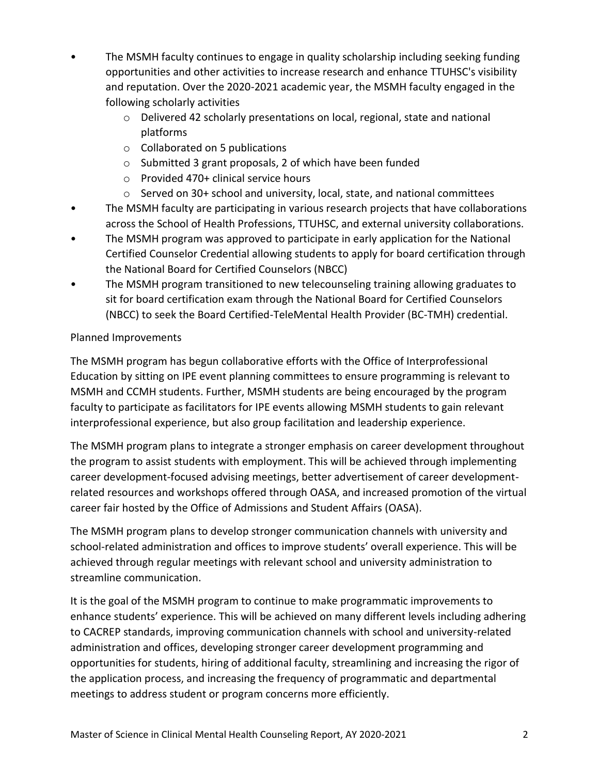- The MSMH faculty continues to engage in quality scholarship including seeking funding opportunities and other activities to increase research and enhance TTUHSC's visibility and reputation. Over the 2020-2021 academic year, the MSMH faculty engaged in the following scholarly activities
	- o Delivered 42 scholarly presentations on local, regional, state and national platforms
	- o Collaborated on 5 publications
	- o Submitted 3 grant proposals, 2 of which have been funded
	- o Provided 470+ clinical service hours
	- o Served on 30+ school and university, local, state, and national committees
- The MSMH faculty are participating in various research projects that have collaborations across the School of Health Professions, TTUHSC, and external university collaborations.
- The MSMH program was approved to participate in early application for the National Certified Counselor Credential allowing students to apply for board certification through the National Board for Certified Counselors (NBCC)
- The MSMH program transitioned to new telecounseling training allowing graduates to sit for board certification exam through the National Board for Certified Counselors (NBCC) to seek the Board Certified-TeleMental Health Provider (BC-TMH) credential.

### Planned Improvements

The MSMH program has begun collaborative efforts with the Office of Interprofessional Education by sitting on IPE event planning committees to ensure programming is relevant to MSMH and CCMH students. Further, MSMH students are being encouraged by the program faculty to participate as facilitators for IPE events allowing MSMH students to gain relevant interprofessional experience, but also group facilitation and leadership experience.

The MSMH program plans to integrate a stronger emphasis on career development throughout the program to assist students with employment. This will be achieved through implementing career development-focused advising meetings, better advertisement of career developmentrelated resources and workshops offered through OASA, and increased promotion of the virtual career fair hosted by the Office of Admissions and Student Affairs (OASA).

The MSMH program plans to develop stronger communication channels with university and school-related administration and offices to improve students' overall experience. This will be achieved through regular meetings with relevant school and university administration to streamline communication.

It is the goal of the MSMH program to continue to make programmatic improvements to enhance students' experience. This will be achieved on many different levels including adhering to CACREP standards, improving communication channels with school and university-related administration and offices, developing stronger career development programming and opportunities for students, hiring of additional faculty, streamlining and increasing the rigor of the application process, and increasing the frequency of programmatic and departmental meetings to address student or program concerns more efficiently.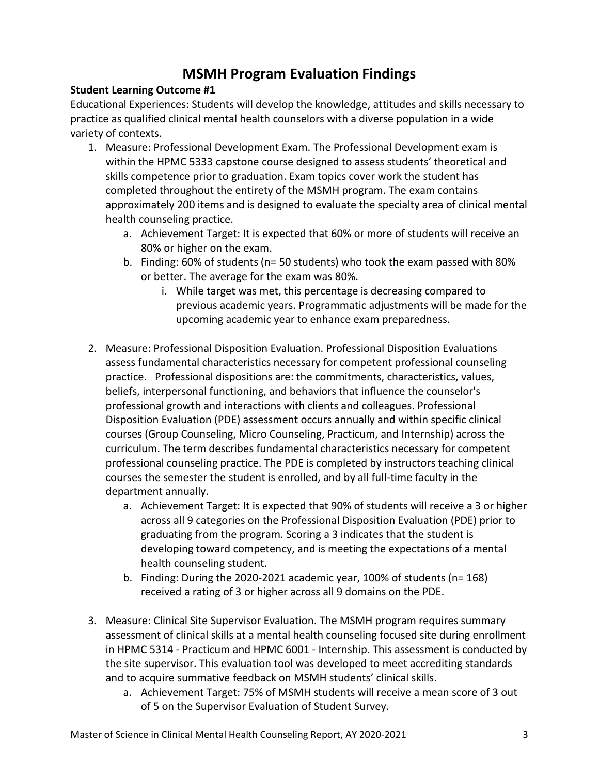# **MSMH Program Evaluation Findings**

#### **Student Learning Outcome #1**

Educational Experiences: Students will develop the knowledge, attitudes and skills necessary to practice as qualified clinical mental health counselors with a diverse population in a wide variety of contexts.

- 1. Measure: Professional Development Exam. The Professional Development exam is within the HPMC 5333 capstone course designed to assess students' theoretical and skills competence prior to graduation. Exam topics cover work the student has completed throughout the entirety of the MSMH program. The exam contains approximately 200 items and is designed to evaluate the specialty area of clinical mental health counseling practice.
	- a. Achievement Target: It is expected that 60% or more of students will receive an 80% or higher on the exam.
	- b. Finding: 60% of students (n= 50 students) who took the exam passed with 80% or better. The average for the exam was 80%.
		- i. While target was met, this percentage is decreasing compared to previous academic years. Programmatic adjustments will be made for the upcoming academic year to enhance exam preparedness.
- 2. Measure: Professional Disposition Evaluation. Professional Disposition Evaluations assess fundamental characteristics necessary for competent professional counseling practice. Professional dispositions are: the commitments, characteristics, values, beliefs, interpersonal functioning, and behaviors that influence the counselor's professional growth and interactions with clients and colleagues. Professional Disposition Evaluation (PDE) assessment occurs annually and within specific clinical courses (Group Counseling, Micro Counseling, Practicum, and Internship) across the curriculum. The term describes fundamental characteristics necessary for competent professional counseling practice. The PDE is completed by instructors teaching clinical courses the semester the student is enrolled, and by all full-time faculty in the department annually.
	- a. Achievement Target: It is expected that 90% of students will receive a 3 or higher across all 9 categories on the Professional Disposition Evaluation (PDE) prior to graduating from the program. Scoring a 3 indicates that the student is developing toward competency, and is meeting the expectations of a mental health counseling student.
	- b. Finding: During the 2020-2021 academic year, 100% of students (n= 168) received a rating of 3 or higher across all 9 domains on the PDE.
- 3. Measure: Clinical Site Supervisor Evaluation. The MSMH program requires summary assessment of clinical skills at a mental health counseling focused site during enrollment in HPMC 5314 - Practicum and HPMC 6001 - Internship. This assessment is conducted by the site supervisor. This evaluation tool was developed to meet accrediting standards and to acquire summative feedback on MSMH students' clinical skills.
	- a. Achievement Target: 75% of MSMH students will receive a mean score of 3 out of 5 on the Supervisor Evaluation of Student Survey.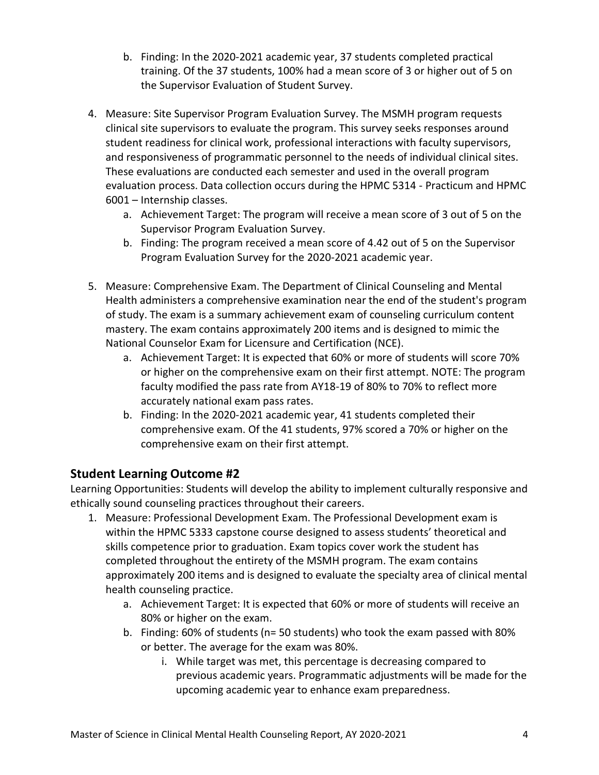- b. Finding: In the 2020-2021 academic year, 37 students completed practical training. Of the 37 students, 100% had a mean score of 3 or higher out of 5 on the Supervisor Evaluation of Student Survey.
- 4. Measure: Site Supervisor Program Evaluation Survey. The MSMH program requests clinical site supervisors to evaluate the program. This survey seeks responses around student readiness for clinical work, professional interactions with faculty supervisors, and responsiveness of programmatic personnel to the needs of individual clinical sites. These evaluations are conducted each semester and used in the overall program evaluation process. Data collection occurs during the HPMC 5314 - Practicum and HPMC 6001 – Internship classes.
	- a. Achievement Target: The program will receive a mean score of 3 out of 5 on the Supervisor Program Evaluation Survey.
	- b. Finding: The program received a mean score of 4.42 out of 5 on the Supervisor Program Evaluation Survey for the 2020-2021 academic year.
- 5. Measure: Comprehensive Exam. The Department of Clinical Counseling and Mental Health administers a comprehensive examination near the end of the student's program of study. The exam is a summary achievement exam of counseling curriculum content mastery. The exam contains approximately 200 items and is designed to mimic the National Counselor Exam for Licensure and Certification (NCE).
	- a. Achievement Target: It is expected that 60% or more of students will score 70% or higher on the comprehensive exam on their first attempt. NOTE: The program faculty modified the pass rate from AY18-19 of 80% to 70% to reflect more accurately national exam pass rates.
	- b. Finding: In the 2020-2021 academic year, 41 students completed their comprehensive exam. Of the 41 students, 97% scored a 70% or higher on the comprehensive exam on their first attempt.

## **Student Learning Outcome #2**

Learning Opportunities: Students will develop the ability to implement culturally responsive and ethically sound counseling practices throughout their careers.

- 1. Measure: Professional Development Exam. The Professional Development exam is within the HPMC 5333 capstone course designed to assess students' theoretical and skills competence prior to graduation. Exam topics cover work the student has completed throughout the entirety of the MSMH program. The exam contains approximately 200 items and is designed to evaluate the specialty area of clinical mental health counseling practice.
	- a. Achievement Target: It is expected that 60% or more of students will receive an 80% or higher on the exam.
	- b. Finding: 60% of students (n= 50 students) who took the exam passed with 80% or better. The average for the exam was 80%.
		- i. While target was met, this percentage is decreasing compared to previous academic years. Programmatic adjustments will be made for the upcoming academic year to enhance exam preparedness.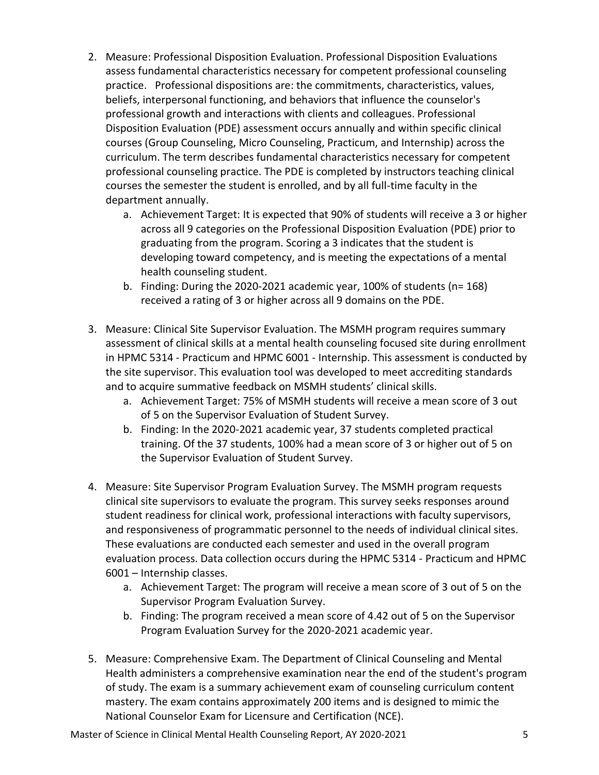- 2. Measure: Professional Disposition Evaluation. Professional Disposition Evaluations assess fundamental characteristics necessary for competent professional counseling practice. Professional dispositions are: the commitments, characteristics, values, beliefs, interpersonal functioning, and behaviors that influence the counselor's professional growth and interactions with clients and colleagues. Professional Disposition Evaluation (PDE) assessment occurs annually and within specific clinical courses (Group Counseling, Micro Counseling, Practicum, and Internship) across the curriculum. The term describes fundamental characteristics necessary for competent professional counseling practice. The PDE is completed by instructors teaching clinical courses the semester the student is enrolled, and by all full-time faculty in the department annually.
	- a. Achievement Target: It is expected that 90% of students will receive a 3 or higher across all 9 categories on the Professional Disposition Evaluation (PDE) prior to graduating from the program. Scoring a 3 indicates that the student is developing toward competency, and is meeting the expectations of a mental health counseling student.
	- b. Finding: During the 2020-2021 academic year, 100% of students (n= 168) received a rating of 3 or higher across all 9 domains on the PDE.
- 3. Measure: Clinical Site Supervisor Evaluation. The MSMH program requires summary assessment of clinical skills at a mental health counseling focused site during enrollment in HPMC 5314 - Practicum and HPMC 6001 - Internship. This assessment is conducted by the site supervisor. This evaluation tool was developed to meet accrediting standards and to acquire summative feedback on MSMH students' clinical skills.
	- a. Achievement Target: 75% of MSMH students will receive a mean score of 3 out of 5 on the Supervisor Evaluation of Student Survey.
	- b. Finding: In the 2020-2021 academic year, 37 students completed practical training. Of the 37 students, 100% had a mean score of 3 or higher out of 5 on the Supervisor Evaluation of Student Survey.
- 4. Measure: Site Supervisor Program Evaluation Survey. The MSMH program requests clinical site supervisors to evaluate the program. This survey seeks responses around student readiness for clinical work, professional interactions with faculty supervisors, and responsiveness of programmatic personnel to the needs of individual clinical sites. These evaluations are conducted each semester and used in the overall program evaluation process. Data collection occurs during the HPMC 5314 - Practicum and HPMC 6001 – Internship classes.
	- a. Achievement Target: The program will receive a mean score of 3 out of 5 on the Supervisor Program Evaluation Survey.
	- b. Finding: The program received a mean score of 4.42 out of 5 on the Supervisor Program Evaluation Survey for the 2020-2021 academic year.
- 5. Measure: Comprehensive Exam. The Department of Clinical Counseling and Mental Health administers a comprehensive examination near the end of the student's program of study. The exam is a summary achievement exam of counseling curriculum content mastery. The exam contains approximately 200 items and is designed to mimic the National Counselor Exam for Licensure and Certification (NCE).

Master of Science in Clinical Mental Health Counseling Report, AY 2020-2021 5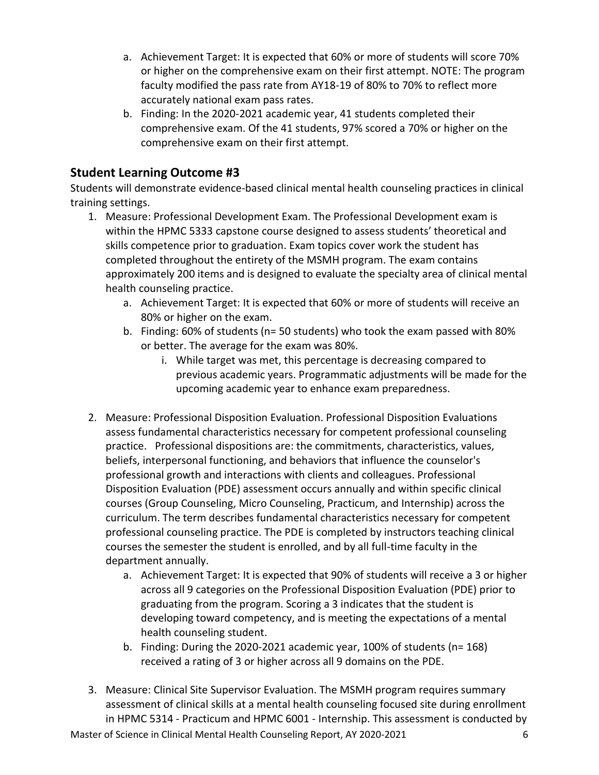- a. Achievement Target: It is expected that 60% or more of students will score 70% or higher on the comprehensive exam on their first attempt. NOTE: The program faculty modified the pass rate from AY18-19 of 80% to 70% to reflect more accurately national exam pass rates.
- b. Finding: In the 2020-2021 academic year, 41 students completed their comprehensive exam. Of the 41 students, 97% scored a 70% or higher on the comprehensive exam on their first attempt.

# **Student Learning Outcome #3**

Students will demonstrate evidence-based clinical mental health counseling practices in clinical training settings.

- 1. Measure: Professional Development Exam. The Professional Development exam is within the HPMC 5333 capstone course designed to assess students' theoretical and skills competence prior to graduation. Exam topics cover work the student has completed throughout the entirety of the MSMH program. The exam contains approximately 200 items and is designed to evaluate the specialty area of clinical mental health counseling practice.
	- a. Achievement Target: It is expected that 60% or more of students will receive an 80% or higher on the exam.
	- b. Finding: 60% of students (n= 50 students) who took the exam passed with 80% or better. The average for the exam was 80%.
		- i. While target was met, this percentage is decreasing compared to previous academic years. Programmatic adjustments will be made for the upcoming academic year to enhance exam preparedness.
- 2. Measure: Professional Disposition Evaluation. Professional Disposition Evaluations assess fundamental characteristics necessary for competent professional counseling practice. Professional dispositions are: the commitments, characteristics, values, beliefs, interpersonal functioning, and behaviors that influence the counselor's professional growth and interactions with clients and colleagues. Professional Disposition Evaluation (PDE) assessment occurs annually and within specific clinical courses (Group Counseling, Micro Counseling, Practicum, and Internship) across the curriculum. The term describes fundamental characteristics necessary for competent professional counseling practice. The PDE is completed by instructors teaching clinical courses the semester the student is enrolled, and by all full-time faculty in the department annually.
	- a. Achievement Target: It is expected that 90% of students will receive a 3 or higher across all 9 categories on the Professional Disposition Evaluation (PDE) prior to graduating from the program. Scoring a 3 indicates that the student is developing toward competency, and is meeting the expectations of a mental health counseling student.
	- b. Finding: During the 2020-2021 academic year, 100% of students (n= 168) received a rating of 3 or higher across all 9 domains on the PDE.
- 3. Measure: Clinical Site Supervisor Evaluation. The MSMH program requires summary assessment of clinical skills at a mental health counseling focused site during enrollment in HPMC 5314 - Practicum and HPMC 6001 - Internship. This assessment is conducted by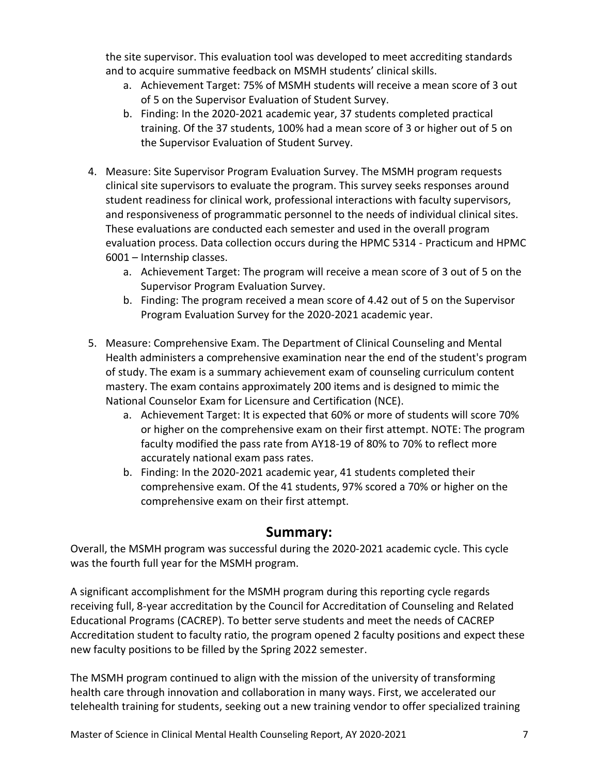the site supervisor. This evaluation tool was developed to meet accrediting standards and to acquire summative feedback on MSMH students' clinical skills.

- a. Achievement Target: 75% of MSMH students will receive a mean score of 3 out of 5 on the Supervisor Evaluation of Student Survey.
- b. Finding: In the 2020-2021 academic year, 37 students completed practical training. Of the 37 students, 100% had a mean score of 3 or higher out of 5 on the Supervisor Evaluation of Student Survey.
- 4. Measure: Site Supervisor Program Evaluation Survey. The MSMH program requests clinical site supervisors to evaluate the program. This survey seeks responses around student readiness for clinical work, professional interactions with faculty supervisors, and responsiveness of programmatic personnel to the needs of individual clinical sites. These evaluations are conducted each semester and used in the overall program evaluation process. Data collection occurs during the HPMC 5314 - Practicum and HPMC 6001 – Internship classes.
	- a. Achievement Target: The program will receive a mean score of 3 out of 5 on the Supervisor Program Evaluation Survey.
	- b. Finding: The program received a mean score of 4.42 out of 5 on the Supervisor Program Evaluation Survey for the 2020-2021 academic year.
- 5. Measure: Comprehensive Exam. The Department of Clinical Counseling and Mental Health administers a comprehensive examination near the end of the student's program of study. The exam is a summary achievement exam of counseling curriculum content mastery. The exam contains approximately 200 items and is designed to mimic the National Counselor Exam for Licensure and Certification (NCE).
	- a. Achievement Target: It is expected that 60% or more of students will score 70% or higher on the comprehensive exam on their first attempt. NOTE: The program faculty modified the pass rate from AY18-19 of 80% to 70% to reflect more accurately national exam pass rates.
	- b. Finding: In the 2020-2021 academic year, 41 students completed their comprehensive exam. Of the 41 students, 97% scored a 70% or higher on the comprehensive exam on their first attempt.

# **Summary:**

Overall, the MSMH program was successful during the 2020-2021 academic cycle. This cycle was the fourth full year for the MSMH program.

A significant accomplishment for the MSMH program during this reporting cycle regards receiving full, 8-year accreditation by the Council for Accreditation of Counseling and Related Educational Programs (CACREP). To better serve students and meet the needs of CACREP Accreditation student to faculty ratio, the program opened 2 faculty positions and expect these new faculty positions to be filled by the Spring 2022 semester.

The MSMH program continued to align with the mission of the university of transforming health care through innovation and collaboration in many ways. First, we accelerated our telehealth training for students, seeking out a new training vendor to offer specialized training